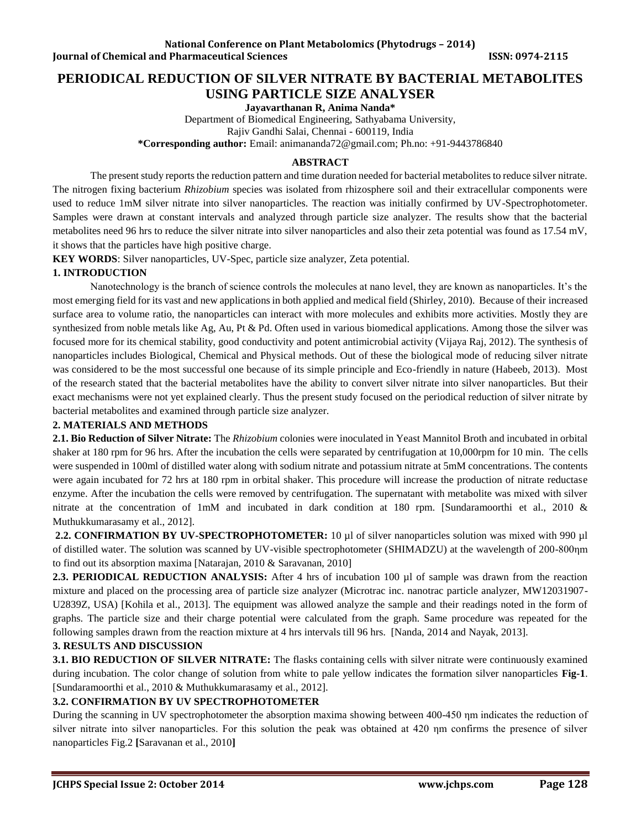# **PERIODICAL REDUCTION OF SILVER NITRATE BY BACTERIAL METABOLITES USING PARTICLE SIZE ANALYSER**

**Jayavarthanan R, Anima Nanda\*** 

Department of Biomedical Engineering, Sathyabama University, Rajiv Gandhi Salai, Chennai - 600119, India **\*Corresponding author:** Email: [animananda72@gmail.com;](mailto:animananda72@gmail.com) Ph.no: +91-9443786840

#### **ABSTRACT**

The present study reports the reduction pattern and time duration needed for bacterial metabolites to reduce silver nitrate. The nitrogen fixing bacterium *Rhizobium* species was isolated from rhizosphere soil and their extracellular components were used to reduce 1mM silver nitrate into silver nanoparticles. The reaction was initially confirmed by UV-Spectrophotometer. Samples were drawn at constant intervals and analyzed through particle size analyzer. The results show that the bacterial metabolites need 96 hrs to reduce the silver nitrate into silver nanoparticles and also their zeta potential was found as 17.54 mV, it shows that the particles have high positive charge.

**KEY WORDS**: Silver nanoparticles, UV-Spec, particle size analyzer, Zeta potential.

### **1. INTRODUCTION**

Nanotechnology is the branch of science controls the molecules at nano level, they are known as nanoparticles. It's the most emerging field for its vast and new applications in both applied and medical field (Shirley, 2010). Because of their increased surface area to volume ratio, the nanoparticles can interact with more molecules and exhibits more activities. Mostly they are synthesized from noble metals like Ag, Au, Pt & Pd. Often used in various biomedical applications. Among those the silver was focused more for its chemical stability, good conductivity and potent antimicrobial activity (Vijaya Raj, 2012). The synthesis of nanoparticles includes Biological, Chemical and Physical methods. Out of these the biological mode of reducing silver nitrate was considered to be the most successful one because of its simple principle and Eco-friendly in nature (Habeeb, 2013). Most of the research stated that the bacterial metabolites have the ability to convert silver nitrate into silver nanoparticles. But their exact mechanisms were not yet explained clearly. Thus the present study focused on the periodical reduction of silver nitrate by bacterial metabolites and examined through particle size analyzer.

#### **2. MATERIALS AND METHODS**

**2.1. Bio Reduction of Silver Nitrate:** The *Rhizobium* colonies were inoculated in Yeast Mannitol Broth and incubated in orbital shaker at 180 rpm for 96 hrs. After the incubation the cells were separated by centrifugation at 10,000rpm for 10 min. The cells were suspended in 100ml of distilled water along with sodium nitrate and potassium nitrate at 5mM concentrations. The contents were again incubated for 72 hrs at 180 rpm in orbital shaker. This procedure will increase the production of nitrate reductase enzyme. After the incubation the cells were removed by centrifugation. The supernatant with metabolite was mixed with silver nitrate at the concentration of 1mM and incubated in dark condition at 180 rpm. [Sundaramoorthi et al., 2010 & Muthukkumarasamy et al., 2012].

**2.2. CONFIRMATION BY UV-SPECTROPHOTOMETER:** 10 µl of silver nanoparticles solution was mixed with 990 µl of distilled water. The solution was scanned by UV-visible spectrophotometer (SHIMADZU) at the wavelength of 200-800ηm to find out its absorption maxima [Natarajan, 2010 & Saravanan, 2010]

**2.3. PERIODICAL REDUCTION ANALYSIS:** After 4 hrs of incubation 100 µl of sample was drawn from the reaction mixture and placed on the processing area of particle size analyzer (Microtrac inc. nanotrac particle analyzer, MW12031907- U2839Z, USA) [Kohila et al., 2013]. The equipment was allowed analyze the sample and their readings noted in the form of graphs. The particle size and their charge potential were calculated from the graph. Same procedure was repeated for the following samples drawn from the reaction mixture at 4 hrs intervals till 96 hrs. [Nanda, 2014 and Nayak, 2013].

#### **3. RESULTS AND DISCUSSION**

**3.1. BIO REDUCTION OF SILVER NITRATE:** The flasks containing cells with silver nitrate were continuously examined during incubation. The color change of solution from white to pale yellow indicates the formation silver nanoparticles **Fig-1**. [Sundaramoorthi et al., 2010 & Muthukkumarasamy et al., 2012].

#### **3.2. CONFIRMATION BY UV SPECTROPHOTOMETER**

During the scanning in UV spectrophotometer the absorption maxima showing between 400-450 ηm indicates the reduction of silver nitrate into silver nanoparticles. For this solution the peak was obtained at 420 ηm confirms the presence of silver nanoparticles Fig.2 **[**Saravanan et al., 2010**]**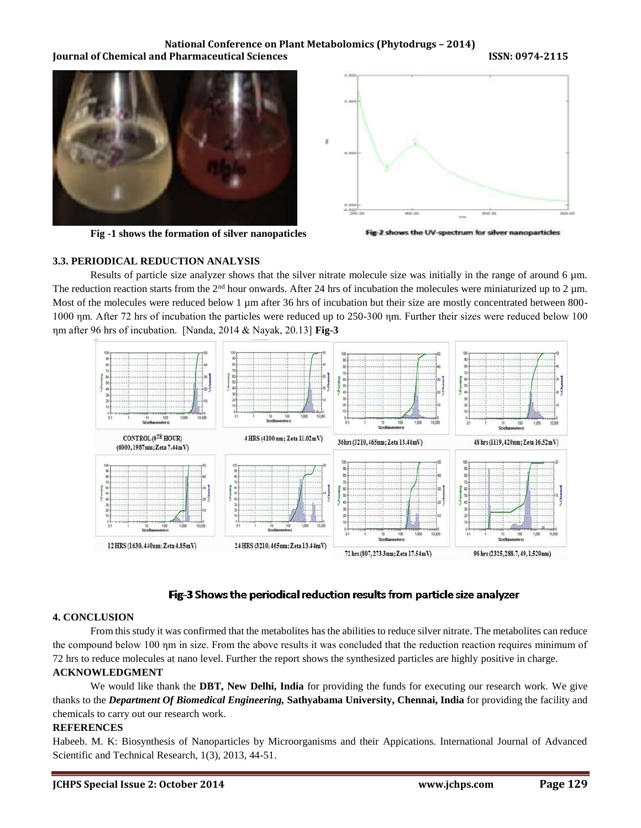#### **National Conference on Plant Metabolomics (Phytodrugs – 2014) Iournal of Chemical and Pharmaceutical Sciences ISSN: 0974-2115**



**Fig -1 shows the formation of silver nanopaticles**



Fig-2 shows the UV-spectrum for silver nanoparticles

#### **3.3. PERIODICAL REDUCTION ANALYSIS**

Results of particle size analyzer shows that the silver nitrate molecule size was initially in the range of around 6 µm. The reduction reaction starts from the  $2<sup>nd</sup>$  hour onwards. After 24 hrs of incubation the molecules were miniaturized up to 2 µm. Most of the molecules were reduced below 1 µm after 36 hrs of incubation but their size are mostly concentrated between 800-1000 ηm. After 72 hrs of incubation the particles were reduced up to 250-300 ηm. Further their sizes were reduced below 100 ηm after 96 hrs of incubation. [Nanda, 2014 & Nayak, 20.13] **Fig-3**



# Fig-3 Shows the periodical reduction results from particle size analyzer

#### **4. CONCLUSION**

From this study it was confirmed that the metabolites has the abilities to reduce silver nitrate. The metabolites can reduce the compound below 100 ηm in size. From the above results it was concluded that the reduction reaction requires minimum of 72 hrs to reduce molecules at nano level. Further the report shows the synthesized particles are highly positive in charge.

# **ACKNOWLEDGMENT**

We would like thank the **DBT, New Delhi, India** for providing the funds for executing our research work. We give thanks to the *Department Of Biomedical Engineering,* **Sathyabama University, Chennai, India** for providing the facility and chemicals to carry out our research work.

#### **REFERENCES**

Habeeb. M. K: Biosynthesis of Nanoparticles by Microorganisms and their Appications. International Journal of Advanced Scientific and Technical Research, 1(3), 2013, 44-51.